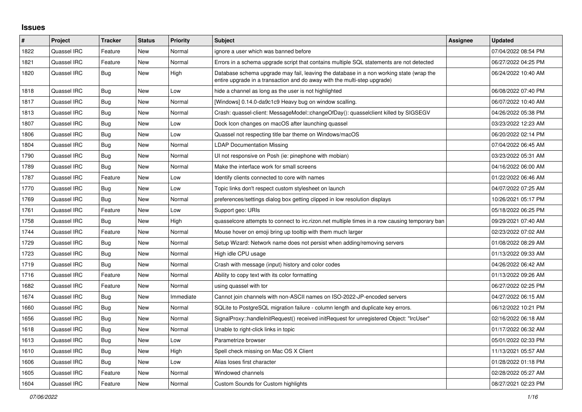## **Issues**

| #    | Project     | <b>Tracker</b> | <b>Status</b> | <b>Priority</b> | <b>Subject</b>                                                                                                                                                      | Assignee | <b>Updated</b>      |
|------|-------------|----------------|---------------|-----------------|---------------------------------------------------------------------------------------------------------------------------------------------------------------------|----------|---------------------|
| 1822 | Quassel IRC | Feature        | <b>New</b>    | Normal          | ignore a user which was banned before                                                                                                                               |          | 07/04/2022 08:54 PM |
| 1821 | Quassel IRC | Feature        | <b>New</b>    | Normal          | Errors in a schema upgrade script that contains multiple SQL statements are not detected                                                                            |          | 06/27/2022 04:25 PM |
| 1820 | Quassel IRC | <b>Bug</b>     | <b>New</b>    | High            | Database schema upgrade may fail, leaving the database in a non working state (wrap the<br>entire upgrade in a transaction and do away with the multi-step upgrade) |          | 06/24/2022 10:40 AM |
| 1818 | Quassel IRC | Bug            | <b>New</b>    | Low             | hide a channel as long as the user is not highlighted                                                                                                               |          | 06/08/2022 07:40 PM |
| 1817 | Quassel IRC | <b>Bug</b>     | New           | Normal          | [Windows] 0.14.0-da9c1c9 Heavy bug on window scalling.                                                                                                              |          | 06/07/2022 10:40 AM |
| 1813 | Quassel IRC | Bug            | <b>New</b>    | Normal          | Crash: quassel-client: MessageModel::changeOfDay(): quasselclient killed by SIGSEGV                                                                                 |          | 04/26/2022 05:38 PM |
| 1807 | Quassel IRC | Bug            | <b>New</b>    | Low             | Dock Icon changes on macOS after launching quassel                                                                                                                  |          | 03/23/2022 12:23 AM |
| 1806 | Quassel IRC | Bug            | <b>New</b>    | Low             | Quassel not respecting title bar theme on Windows/macOS                                                                                                             |          | 06/20/2022 02:14 PM |
| 1804 | Quassel IRC | Bug            | <b>New</b>    | Normal          | <b>LDAP Documentation Missing</b>                                                                                                                                   |          | 07/04/2022 06:45 AM |
| 1790 | Quassel IRC | Bug            | <b>New</b>    | Normal          | UI not responsive on Posh (ie: pinephone with mobian)                                                                                                               |          | 03/23/2022 05:31 AM |
| 1789 | Quassel IRC | Bug            | <b>New</b>    | Normal          | Make the interface work for small screens                                                                                                                           |          | 04/16/2022 06:00 AM |
| 1787 | Quassel IRC | Feature        | New           | Low             | Identify clients connected to core with names                                                                                                                       |          | 01/22/2022 06:46 AM |
| 1770 | Quassel IRC | Bug            | <b>New</b>    | Low             | Topic links don't respect custom stylesheet on launch                                                                                                               |          | 04/07/2022 07:25 AM |
| 1769 | Quassel IRC | Bug            | New           | Normal          | preferences/settings dialog box getting clipped in low resolution displays                                                                                          |          | 10/26/2021 05:17 PM |
| 1761 | Quassel IRC | Feature        | New           | Low             | Support geo: URIs                                                                                                                                                   |          | 05/18/2022 06:25 PM |
| 1758 | Quassel IRC | Bug            | <b>New</b>    | High            | quasselcore attempts to connect to irc.rizon.net multiple times in a row causing temporary ban                                                                      |          | 09/29/2021 07:40 AM |
| 1744 | Quassel IRC | Feature        | New           | Normal          | Mouse hover on emoji bring up tooltip with them much larger                                                                                                         |          | 02/23/2022 07:02 AM |
| 1729 | Quassel IRC | Bug            | New           | Normal          | Setup Wizard: Network name does not persist when adding/removing servers                                                                                            |          | 01/08/2022 08:29 AM |
| 1723 | Quassel IRC | Bug            | New           | Normal          | High idle CPU usage                                                                                                                                                 |          | 01/13/2022 09:33 AM |
| 1719 | Quassel IRC | Bug            | <b>New</b>    | Normal          | Crash with message (input) history and color codes                                                                                                                  |          | 04/26/2022 06:42 AM |
| 1716 | Quassel IRC | Feature        | <b>New</b>    | Normal          | Ability to copy text with its color formatting                                                                                                                      |          | 01/13/2022 09:26 AM |
| 1682 | Quassel IRC | Feature        | New           | Normal          | using quassel with tor                                                                                                                                              |          | 06/27/2022 02:25 PM |
| 1674 | Quassel IRC | <b>Bug</b>     | <b>New</b>    | Immediate       | Cannot join channels with non-ASCII names on ISO-2022-JP-encoded servers                                                                                            |          | 04/27/2022 06:15 AM |
| 1660 | Quassel IRC | <b>Bug</b>     | New           | Normal          | SQLite to PostgreSQL migration failure - column length and duplicate key errors.                                                                                    |          | 06/12/2022 10:21 PM |
| 1656 | Quassel IRC | <b>Bug</b>     | New           | Normal          | SignalProxy::handleInitRequest() received initRequest for unregistered Object: "IrcUser"                                                                            |          | 02/16/2022 06:18 AM |
| 1618 | Quassel IRC | Bug            | <b>New</b>    | Normal          | Unable to right-click links in topic                                                                                                                                |          | 01/17/2022 06:32 AM |
| 1613 | Quassel IRC | Bug            | New           | Low             | Parametrize browser                                                                                                                                                 |          | 05/01/2022 02:33 PM |
| 1610 | Quassel IRC | Bug            | New           | High            | Spell check missing on Mac OS X Client                                                                                                                              |          | 11/13/2021 05:57 AM |
| 1606 | Quassel IRC | Bug            | <b>New</b>    | Low             | Alias loses first character                                                                                                                                         |          | 01/28/2022 01:18 PM |
| 1605 | Quassel IRC | Feature        | <b>New</b>    | Normal          | Windowed channels                                                                                                                                                   |          | 02/28/2022 05:27 AM |
| 1604 | Quassel IRC | Feature        | <b>New</b>    | Normal          | Custom Sounds for Custom highlights                                                                                                                                 |          | 08/27/2021 02:23 PM |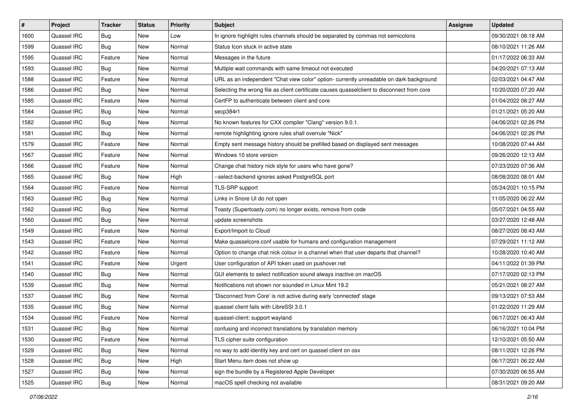| $\sharp$ | Project     | <b>Tracker</b> | <b>Status</b> | <b>Priority</b> | <b>Subject</b>                                                                              | <b>Assignee</b> | <b>Updated</b>      |
|----------|-------------|----------------|---------------|-----------------|---------------------------------------------------------------------------------------------|-----------------|---------------------|
| 1600     | Quassel IRC | <b>Bug</b>     | New           | Low             | In ignore highlight rules channels should be separated by commas not semicolons             |                 | 09/30/2021 08:18 AM |
| 1599     | Quassel IRC | <b>Bug</b>     | <b>New</b>    | Normal          | Status Icon stuck in active state                                                           |                 | 08/10/2021 11:26 AM |
| 1595     | Quassel IRC | Feature        | New           | Normal          | Messages in the future                                                                      |                 | 01/17/2022 06:33 AM |
| 1593     | Quassel IRC | Bug            | <b>New</b>    | Normal          | Multiple wait commands with same timeout not executed                                       |                 | 04/20/2021 07:13 AM |
| 1588     | Quassel IRC | Feature        | New           | Normal          | URL as an independent "Chat view color" option- currently unreadable on dark background     |                 | 02/03/2021 04:47 AM |
| 1586     | Quassel IRC | Bug            | <b>New</b>    | Normal          | Selecting the wrong file as client certificate causes quasselclient to disconnect from core |                 | 10/20/2020 07:20 AM |
| 1585     | Quassel IRC | Feature        | New           | Normal          | CertFP to authenticate between client and core                                              |                 | 01/04/2022 08:27 AM |
| 1584     | Quassel IRC | <b>Bug</b>     | New           | Normal          | secp384r1                                                                                   |                 | 01/21/2021 05:20 AM |
| 1582     | Quassel IRC | <b>Bug</b>     | New           | Normal          | No known features for CXX compiler "Clang" version 9.0.1.                                   |                 | 04/06/2021 02:26 PM |
| 1581     | Quassel IRC | <b>Bug</b>     | New           | Normal          | remote highlighting ignore rules shall overrule "Nick"                                      |                 | 04/06/2021 02:26 PM |
| 1579     | Quassel IRC | Feature        | New           | Normal          | Empty sent message history should be prefilled based on displayed sent messages             |                 | 10/08/2020 07:44 AM |
| 1567     | Quassel IRC | Feature        | New           | Normal          | Windows 10 store version                                                                    |                 | 09/26/2020 12:13 AM |
| 1566     | Quassel IRC | Feature        | <b>New</b>    | Normal          | Change chat history nick style for users who have gone?                                     |                 | 07/23/2020 07:36 AM |
| 1565     | Quassel IRC | <b>Bug</b>     | New           | High            | --select-backend ignores asked PostgreSQL port                                              |                 | 08/08/2020 08:01 AM |
| 1564     | Quassel IRC | Feature        | <b>New</b>    | Normal          | TLS-SRP support                                                                             |                 | 05/24/2021 10:15 PM |
| 1563     | Quassel IRC | Bug            | New           | Normal          | Links in Snore UI do not open                                                               |                 | 11/05/2020 06:22 AM |
| 1562     | Quassel IRC | <b>Bug</b>     | <b>New</b>    | Normal          | Toasty (Supertoasty.com) no longer exists, remove from code                                 |                 | 05/07/2021 04:55 AM |
| 1560     | Quassel IRC | Bug            | New           | Normal          | update screenshots                                                                          |                 | 03/27/2020 12:48 AM |
| 1549     | Quassel IRC | Feature        | New           | Normal          | Export/Import to Cloud                                                                      |                 | 08/27/2020 08:43 AM |
| 1543     | Quassel IRC | Feature        | <b>New</b>    | Normal          | Make quasselcore.conf usable for humans and configuration management                        |                 | 07/29/2021 11:12 AM |
| 1542     | Quassel IRC | Feature        | New           | Normal          | Option to change chat nick colour in a channel when that user departs that channel?         |                 | 10/28/2020 10:40 AM |
| 1541     | Quassel IRC | Feature        | <b>New</b>    | Urgent          | User configuration of API token used on pushover.net                                        |                 | 04/11/2022 01:39 PM |
| 1540     | Quassel IRC | Bug            | New           | Normal          | GUI elements to select notification sound always inactive on macOS                          |                 | 07/17/2020 02:13 PM |
| 1539     | Quassel IRC | Bug            | New           | Normal          | Notifications not shown nor sounded in Linux Mint 19.2                                      |                 | 05/21/2021 08:27 AM |
| 1537     | Quassel IRC | Bug            | New           | Normal          | 'Disconnect from Core' is not active during early 'connected' stage                         |                 | 09/13/2021 07:53 AM |
| 1535     | Quassel IRC | Bug            | New           | Normal          | quassel client fails with LibreSSI 3.0.1                                                    |                 | 01/22/2020 11:29 AM |
| 1534     | Quassel IRC | Feature        | New           | Normal          | quassel-client: support wayland                                                             |                 | 06/17/2021 06:43 AM |
| 1531     | Quassel IRC | Bug            | New           | Normal          | confusing and incorrect translations by translation memory                                  |                 | 06/16/2021 10:04 PM |
| 1530     | Quassel IRC | Feature        | New           | Normal          | TLS cipher suite configuration                                                              |                 | 12/10/2021 05:50 AM |
| 1529     | Quassel IRC | <b>Bug</b>     | New           | Normal          | no way to add identity key and cert on quassel client on osx                                |                 | 08/11/2021 12:26 PM |
| 1528     | Quassel IRC | Bug            | <b>New</b>    | High            | Start Menu item does not show up                                                            |                 | 06/17/2021 06:22 AM |
| 1527     | Quassel IRC | <b>Bug</b>     | New           | Normal          | sign the bundle by a Registered Apple Developer                                             |                 | 07/30/2020 06:55 AM |
| 1525     | Quassel IRC | <b>Bug</b>     | New           | Normal          | macOS spell checking not available                                                          |                 | 08/31/2021 09:20 AM |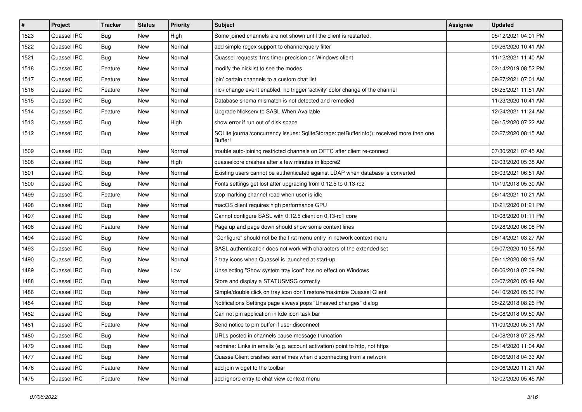| $\pmb{\sharp}$ | Project     | <b>Tracker</b> | <b>Status</b> | <b>Priority</b> | <b>Subject</b>                                                                                       | Assignee | <b>Updated</b>      |
|----------------|-------------|----------------|---------------|-----------------|------------------------------------------------------------------------------------------------------|----------|---------------------|
| 1523           | Quassel IRC | Bug            | New           | High            | Some joined channels are not shown until the client is restarted.                                    |          | 05/12/2021 04:01 PM |
| 1522           | Quassel IRC | Bug            | <b>New</b>    | Normal          | add simple regex support to channel/query filter                                                     |          | 09/26/2020 10:41 AM |
| 1521           | Quassel IRC | <b>Bug</b>     | New           | Normal          | Quassel requests 1ms timer precision on Windows client                                               |          | 11/12/2021 11:40 AM |
| 1518           | Quassel IRC | Feature        | New           | Normal          | modify the nicklist to see the modes                                                                 |          | 02/14/2019 08:52 PM |
| 1517           | Quassel IRC | Feature        | <b>New</b>    | Normal          | 'pin' certain channels to a custom chat list                                                         |          | 09/27/2021 07:01 AM |
| 1516           | Quassel IRC | Feature        | New           | Normal          | nick change event enabled, no trigger 'activity' color change of the channel                         |          | 06/25/2021 11:51 AM |
| 1515           | Quassel IRC | <b>Bug</b>     | <b>New</b>    | Normal          | Database shema mismatch is not detected and remedied                                                 |          | 11/23/2020 10:41 AM |
| 1514           | Quassel IRC | Feature        | New           | Normal          | Upgrade Nickserv to SASL When Available                                                              |          | 12/24/2021 11:24 AM |
| 1513           | Quassel IRC | Bug            | <b>New</b>    | High            | show error if run out of disk space                                                                  |          | 09/15/2020 07:22 AM |
| 1512           | Quassel IRC | Bug            | <b>New</b>    | Normal          | SQLite journal/concurrency issues: SqliteStorage::getBufferInfo(): received more then one<br>Buffer! |          | 02/27/2020 08:15 AM |
| 1509           | Quassel IRC | Bug            | <b>New</b>    | Normal          | trouble auto-joining restricted channels on OFTC after client re-connect                             |          | 07/30/2021 07:45 AM |
| 1508           | Quassel IRC | Bug            | <b>New</b>    | High            | quasselcore crashes after a few minutes in libpcre2                                                  |          | 02/03/2020 05:38 AM |
| 1501           | Quassel IRC | <b>Bug</b>     | <b>New</b>    | Normal          | Existing users cannot be authenticated against LDAP when database is converted                       |          | 08/03/2021 06:51 AM |
| 1500           | Quassel IRC | Bug            | <b>New</b>    | Normal          | Fonts settings get lost after upgrading from 0.12.5 to 0.13-rc2                                      |          | 10/19/2018 05:30 AM |
| 1499           | Quassel IRC | Feature        | New           | Normal          | stop marking channel read when user is idle                                                          |          | 06/14/2021 10:21 AM |
| 1498           | Quassel IRC | Bug            | New           | Normal          | macOS client requires high performance GPU                                                           |          | 10/21/2020 01:21 PM |
| 1497           | Quassel IRC | Bug            | <b>New</b>    | Normal          | Cannot configure SASL with 0.12.5 client on 0.13-rc1 core                                            |          | 10/08/2020 01:11 PM |
| 1496           | Quassel IRC | Feature        | New           | Normal          | Page up and page down should show some context lines                                                 |          | 09/28/2020 06:08 PM |
| 1494           | Quassel IRC | <b>Bug</b>     | <b>New</b>    | Normal          | "Configure" should not be the first menu entry in network context menu                               |          | 06/14/2021 03:27 AM |
| 1493           | Quassel IRC | <b>Bug</b>     | New           | Normal          | SASL authentication does not work with characters of the extended set                                |          | 09/07/2020 10:58 AM |
| 1490           | Quassel IRC | <b>Bug</b>     | <b>New</b>    | Normal          | 2 tray icons when Quassel is launched at start-up.                                                   |          | 09/11/2020 08:19 AM |
| 1489           | Quassel IRC | Bug            | <b>New</b>    | Low             | Unselecting "Show system tray icon" has no effect on Windows                                         |          | 08/06/2018 07:09 PM |
| 1488           | Quassel IRC | <b>Bug</b>     | New           | Normal          | Store and display a STATUSMSG correctly                                                              |          | 03/07/2020 05:49 AM |
| 1486           | Quassel IRC | <b>Bug</b>     | <b>New</b>    | Normal          | Simple/double click on tray icon don't restore/maximize Quassel Client                               |          | 04/10/2020 05:50 PM |
| 1484           | Quassel IRC | <b>Bug</b>     | New           | Normal          | Notifications Settings page always pops "Unsaved changes" dialog                                     |          | 05/22/2018 08:26 PM |
| 1482           | Quassel IRC | Bug            | <b>New</b>    | Normal          | Can not pin application in kde icon task bar                                                         |          | 05/08/2018 09:50 AM |
| 1481           | Quassel IRC | Feature        | New           | Normal          | Send notice to pm buffer if user disconnect                                                          |          | 11/09/2020 05:31 AM |
| 1480           | Quassel IRC | <b>Bug</b>     | New           | Normal          | URLs posted in channels cause message truncation                                                     |          | 04/08/2018 07:28 AM |
| 1479           | Quassel IRC | <b>Bug</b>     | New           | Normal          | redmine: Links in emails (e.g. account activation) point to http, not https                          |          | 05/14/2020 11:04 AM |
| 1477           | Quassel IRC | Bug            | New           | Normal          | QuasselClient crashes sometimes when disconnecting from a network                                    |          | 08/06/2018 04:33 AM |
| 1476           | Quassel IRC | Feature        | New           | Normal          | add join widget to the toolbar                                                                       |          | 03/06/2020 11:21 AM |
| 1475           | Quassel IRC | Feature        | New           | Normal          | add ignore entry to chat view context menu                                                           |          | 12/02/2020 05:45 AM |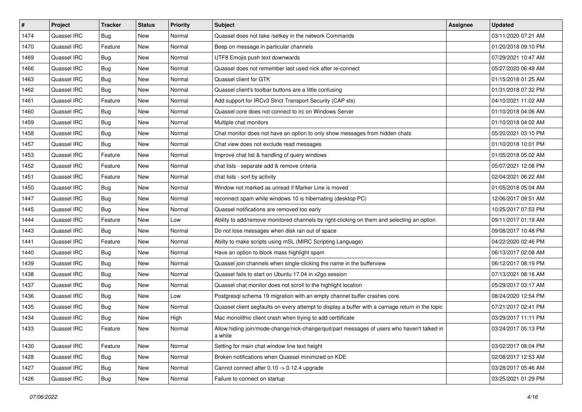| $\sharp$ | Project     | <b>Tracker</b> | <b>Status</b> | <b>Priority</b> | <b>Subject</b>                                                                                         | Assignee | <b>Updated</b>      |
|----------|-------------|----------------|---------------|-----------------|--------------------------------------------------------------------------------------------------------|----------|---------------------|
| 1474     | Quassel IRC | <b>Bug</b>     | New           | Normal          | Quassel does not take /setkey in the network Commands                                                  |          | 03/11/2020 07:21 AM |
| 1470     | Quassel IRC | Feature        | <b>New</b>    | Normal          | Beep on message in particular channels                                                                 |          | 01/20/2018 09:10 PM |
| 1469     | Quassel IRC | Bug            | New           | Normal          | UTF8 Emojis push text downwards                                                                        |          | 07/29/2021 10:47 AM |
| 1466     | Quassel IRC | <b>Bug</b>     | New           | Normal          | Quassel does not remember last used nick after re-connect                                              |          | 05/27/2020 06:49 AM |
| 1463     | Quassel IRC | <b>Bug</b>     | <b>New</b>    | Normal          | Quassel client for GTK                                                                                 |          | 01/15/2018 01:25 AM |
| 1462     | Quassel IRC | Bug            | New           | Normal          | Quassel client's toolbar buttons are a little confusing                                                |          | 01/31/2018 07:32 PM |
| 1461     | Quassel IRC | Feature        | New           | Normal          | Add support for IRCv3 Strict Transport Security (CAP sts)                                              |          | 04/10/2021 11:02 AM |
| 1460     | Quassel IRC | Bug            | New           | Normal          | Quassel core does not connect to irc on Windows Server                                                 |          | 01/10/2018 04:06 AM |
| 1459     | Quassel IRC | <b>Bug</b>     | New           | Normal          | Multiple chat monitors                                                                                 |          | 01/10/2018 04:02 AM |
| 1458     | Quassel IRC | Bug            | <b>New</b>    | Normal          | Chat monitor does not have an option to only show messages from hidden chats                           |          | 05/20/2021 03:10 PM |
| 1457     | Quassel IRC | <b>Bug</b>     | New           | Normal          | Chat view does not exclude read messages                                                               |          | 01/10/2018 10:01 PM |
| 1453     | Quassel IRC | Feature        | New           | Normal          | Improve chat list & handling of query windows                                                          |          | 01/05/2018 05:02 AM |
| 1452     | Quassel IRC | Feature        | New           | Normal          | chat lists - separate add & remove criteria                                                            |          | 05/07/2021 12:08 PM |
| 1451     | Quassel IRC | Feature        | <b>New</b>    | Normal          | chat lists - sort by activity                                                                          |          | 02/04/2021 06:22 AM |
| 1450     | Quassel IRC | <b>Bug</b>     | <b>New</b>    | Normal          | Window not marked as unread if Marker Line is moved                                                    |          | 01/05/2018 05:04 AM |
| 1447     | Quassel IRC | <b>Bug</b>     | New           | Normal          | reconnect spam while windows 10 is hibernating (desktop PC)                                            |          | 12/06/2017 09:51 AM |
| 1445     | Quassel IRC | Bug            | New           | Normal          | Quassel notifications are removed too early                                                            |          | 10/25/2017 07:53 PM |
| 1444     | Quassel IRC | Feature        | <b>New</b>    | Low             | Ability to add/remove monitored channels by right-clicking on them and selecting an option             |          | 09/11/2017 01:19 AM |
| 1443     | Quassel IRC | Bug            | New           | Normal          | Do not lose messages when disk ran out of space                                                        |          | 09/08/2017 10:48 PM |
| 1441     | Quassel IRC | Feature        | <b>New</b>    | Normal          | Abilty to make scripts using mSL (MIRC Scripting Language)                                             |          | 04/22/2020 02:46 PM |
| 1440     | Quassel IRC | Bug            | New           | Normal          | Have an option to block mass highlight spam                                                            |          | 06/13/2017 02:08 AM |
| 1439     | Quassel IRC | <b>Bug</b>     | New           | Normal          | Quassel join channels when single-clicking the name in the bufferview                                  |          | 06/12/2017 08:19 PM |
| 1438     | Quassel IRC | Bug            | New           | Normal          | Quassel fails to start on Ubuntu 17.04 in x2go session                                                 |          | 07/13/2021 08:16 AM |
| 1437     | Quassel IRC | <b>Bug</b>     | New           | Normal          | Quassel chat monitor does not scroll to the highlight location                                         |          | 05/29/2017 03:17 AM |
| 1436     | Quassel IRC | <b>Bug</b>     | New           | Low             | Postgresql schema 19 migration with an empty channel buffer crashes core.                              |          | 08/24/2020 12:54 PM |
| 1435     | Quassel IRC | Bug            | New           | Normal          | Quassel client segfaults on every attempt to display a buffer with a carriage return in the topic      |          | 07/21/2017 02:41 PM |
| 1434     | Quassel IRC | <b>Bug</b>     | New           | High            | Mac monolithic client crash when trying to add certtificate                                            |          | 03/29/2017 11:11 PM |
| 1433     | Quassel IRC | Feature        | New           | Normal          | Allow hiding join/mode-change/nick-change/quit/part messages of users who haven't talked in<br>a while |          | 03/24/2017 05:13 PM |
| 1430     | Quassel IRC | Feature        | New           | Normal          | Setting for main chat window line text height                                                          |          | 03/02/2017 08:04 PM |
| 1428     | Quassel IRC | Bug            | New           | Normal          | Broken notifications when Quassel minimized on KDE                                                     |          | 02/08/2017 12:53 AM |
| 1427     | Quassel IRC | <b>Bug</b>     | New           | Normal          | Cannot connect after 0.10 -> 0.12.4 upgrade                                                            |          | 03/28/2017 05:46 AM |
| 1426     | Quassel IRC | Bug            | New           | Normal          | Failure to connect on startup                                                                          |          | 03/25/2021 01:29 PM |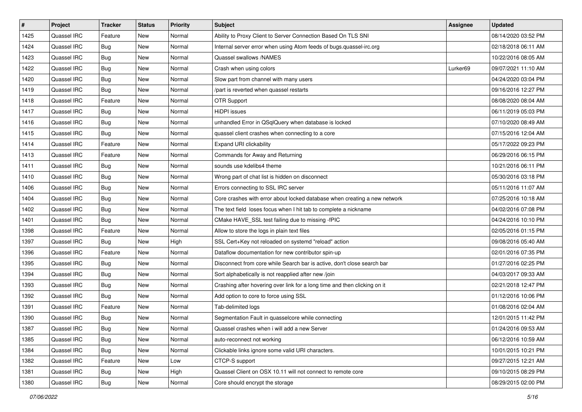| $\pmb{\sharp}$ | Project     | <b>Tracker</b> | <b>Status</b> | <b>Priority</b> | Subject                                                                   | <b>Assignee</b> | <b>Updated</b>      |
|----------------|-------------|----------------|---------------|-----------------|---------------------------------------------------------------------------|-----------------|---------------------|
| 1425           | Quassel IRC | Feature        | New           | Normal          | Ability to Proxy Client to Server Connection Based On TLS SNI             |                 | 08/14/2020 03:52 PM |
| 1424           | Quassel IRC | <b>Bug</b>     | <b>New</b>    | Normal          | Internal server error when using Atom feeds of bugs.quassel-irc.org       |                 | 02/18/2018 06:11 AM |
| 1423           | Quassel IRC | Bug            | <b>New</b>    | Normal          | Quassel swallows /NAMES                                                   |                 | 10/22/2016 08:05 AM |
| 1422           | Quassel IRC | <b>Bug</b>     | <b>New</b>    | Normal          | Crash when using colors                                                   | Lurker69        | 09/07/2021 11:10 AM |
| 1420           | Quassel IRC | Bug            | <b>New</b>    | Normal          | Slow part from channel with many users                                    |                 | 04/24/2020 03:04 PM |
| 1419           | Quassel IRC | <b>Bug</b>     | <b>New</b>    | Normal          | /part is reverted when quassel restarts                                   |                 | 09/16/2016 12:27 PM |
| 1418           | Quassel IRC | Feature        | New           | Normal          | <b>OTR Support</b>                                                        |                 | 08/08/2020 08:04 AM |
| 1417           | Quassel IRC | <b>Bug</b>     | New           | Normal          | <b>HiDPI</b> issues                                                       |                 | 06/11/2019 05:03 PM |
| 1416           | Quassel IRC | <b>Bug</b>     | <b>New</b>    | Normal          | unhandled Error in QSqlQuery when database is locked                      |                 | 07/10/2020 08:49 AM |
| 1415           | Quassel IRC | Bug            | <b>New</b>    | Normal          | quassel client crashes when connecting to a core                          |                 | 07/15/2016 12:04 AM |
| 1414           | Quassel IRC | Feature        | <b>New</b>    | Normal          | Expand URI clickability                                                   |                 | 05/17/2022 09:23 PM |
| 1413           | Quassel IRC | Feature        | <b>New</b>    | Normal          | Commands for Away and Returning                                           |                 | 06/29/2016 06:15 PM |
| 1411           | Quassel IRC | Bug            | <b>New</b>    | Normal          | sounds use kdelibs4 theme                                                 |                 | 10/21/2016 06:11 PM |
| 1410           | Quassel IRC | <b>Bug</b>     | <b>New</b>    | Normal          | Wrong part of chat list is hidden on disconnect                           |                 | 05/30/2016 03:18 PM |
| 1406           | Quassel IRC | Bug            | <b>New</b>    | Normal          | Errors connecting to SSL IRC server                                       |                 | 05/11/2016 11:07 AM |
| 1404           | Quassel IRC | <b>Bug</b>     | <b>New</b>    | Normal          | Core crashes with error about locked database when creating a new network |                 | 07/25/2016 10:18 AM |
| 1402           | Quassel IRC | <b>Bug</b>     | <b>New</b>    | Normal          | The text field loses focus when I hit tab to complete a nickname          |                 | 04/02/2016 07:08 PM |
| 1401           | Quassel IRC | Bug            | <b>New</b>    | Normal          | CMake HAVE_SSL test failing due to missing -fPIC                          |                 | 04/24/2016 10:10 PM |
| 1398           | Quassel IRC | Feature        | New           | Normal          | Allow to store the logs in plain text files                               |                 | 02/05/2016 01:15 PM |
| 1397           | Quassel IRC | <b>Bug</b>     | <b>New</b>    | High            | SSL Cert+Key not reloaded on systemd "reload" action                      |                 | 09/08/2016 05:40 AM |
| 1396           | Quassel IRC | Feature        | New           | Normal          | Dataflow documentation for new contributor spin-up                        |                 | 02/01/2016 07:35 PM |
| 1395           | Quassel IRC | <b>Bug</b>     | <b>New</b>    | Normal          | Disconnect from core while Search bar is active, don't close search bar   |                 | 01/27/2016 02:25 PM |
| 1394           | Quassel IRC | Bug            | <b>New</b>    | Normal          | Sort alphabetically is not reapplied after new /join                      |                 | 04/03/2017 09:33 AM |
| 1393           | Quassel IRC | <b>Bug</b>     | <b>New</b>    | Normal          | Crashing after hovering over link for a long time and then clicking on it |                 | 02/21/2018 12:47 PM |
| 1392           | Quassel IRC | <b>Bug</b>     | <b>New</b>    | Normal          | Add option to core to force using SSL                                     |                 | 01/12/2016 10:06 PM |
| 1391           | Quassel IRC | Feature        | New           | Normal          | Tab-delimited logs                                                        |                 | 01/08/2016 02:04 AM |
| 1390           | Quassel IRC | <b>Bug</b>     | New           | Normal          | Segmentation Fault in quasselcore while connecting                        |                 | 12/01/2015 11:42 PM |
| 1387           | Quassel IRC | Bug            | New           | Normal          | Quassel crashes when i will add a new Server                              |                 | 01/24/2016 09:53 AM |
| 1385           | Quassel IRC | <b>Bug</b>     | New           | Normal          | auto-reconnect not working                                                |                 | 06/12/2016 10:59 AM |
| 1384           | Quassel IRC | <b>Bug</b>     | New           | Normal          | Clickable links ignore some valid URI characters.                         |                 | 10/01/2015 10:21 PM |
| 1382           | Quassel IRC | Feature        | New           | Low             | CTCP-S support                                                            |                 | 09/27/2015 12:21 AM |
| 1381           | Quassel IRC | <b>Bug</b>     | New           | High            | Quassel Client on OSX 10.11 will not connect to remote core               |                 | 09/10/2015 08:29 PM |
| 1380           | Quassel IRC | <b>Bug</b>     | New           | Normal          | Core should encrypt the storage                                           |                 | 08/29/2015 02:00 PM |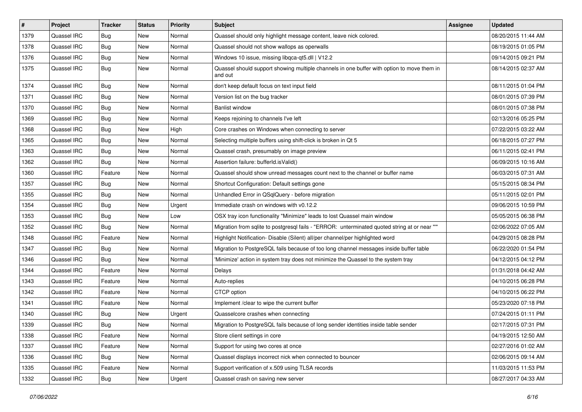| #    | Project     | <b>Tracker</b> | <b>Status</b> | <b>Priority</b> | <b>Subject</b>                                                                                        | Assignee | <b>Updated</b>      |
|------|-------------|----------------|---------------|-----------------|-------------------------------------------------------------------------------------------------------|----------|---------------------|
| 1379 | Quassel IRC | <b>Bug</b>     | New           | Normal          | Quassel should only highlight message content, leave nick colored.                                    |          | 08/20/2015 11:44 AM |
| 1378 | Quassel IRC | <b>Bug</b>     | <b>New</b>    | Normal          | Quassel should not show wallops as operwalls                                                          |          | 08/19/2015 01:05 PM |
| 1376 | Quassel IRC | <b>Bug</b>     | New           | Normal          | Windows 10 issue, missing libgca-qt5.dll   V12.2                                                      |          | 09/14/2015 09:21 PM |
| 1375 | Quassel IRC | <b>Bug</b>     | New           | Normal          | Quassel should support showing multiple channels in one buffer with option to move them in<br>and out |          | 08/14/2015 02:37 AM |
| 1374 | Quassel IRC | Bug            | New           | Normal          | don't keep default focus on text input field                                                          |          | 08/11/2015 01:04 PM |
| 1371 | Quassel IRC | <b>Bug</b>     | New           | Normal          | Version list on the bug tracker                                                                       |          | 08/01/2015 07:39 PM |
| 1370 | Quassel IRC | Bug            | New           | Normal          | <b>Banlist window</b>                                                                                 |          | 08/01/2015 07:38 PM |
| 1369 | Quassel IRC | <b>Bug</b>     | New           | Normal          | Keeps rejoining to channels I've left                                                                 |          | 02/13/2016 05:25 PM |
| 1368 | Quassel IRC | <b>Bug</b>     | New           | High            | Core crashes on Windows when connecting to server                                                     |          | 07/22/2015 03:22 AM |
| 1365 | Quassel IRC | <b>Bug</b>     | New           | Normal          | Selecting multiple buffers using shift-click is broken in Qt 5                                        |          | 06/18/2015 07:27 PM |
| 1363 | Quassel IRC | Bug            | New           | Normal          | Quassel crash, presumably on image preview                                                            |          | 06/11/2015 02:41 PM |
| 1362 | Quassel IRC | Bug            | New           | Normal          | Assertion failure: bufferId.isValid()                                                                 |          | 06/09/2015 10:16 AM |
| 1360 | Quassel IRC | Feature        | <b>New</b>    | Normal          | Quassel should show unread messages count next to the channel or buffer name                          |          | 06/03/2015 07:31 AM |
| 1357 | Quassel IRC | <b>Bug</b>     | New           | Normal          | Shortcut Configuration: Default settings gone                                                         |          | 05/15/2015 08:34 PM |
| 1355 | Quassel IRC | Bug            | <b>New</b>    | Normal          | Unhandled Error in QSqlQuery - before migration                                                       |          | 05/11/2015 02:01 PM |
| 1354 | Quassel IRC | <b>Bug</b>     | <b>New</b>    | Urgent          | Immediate crash on windows with v0.12.2                                                               |          | 09/06/2015 10:59 PM |
| 1353 | Quassel IRC | Bug            | New           | Low             | OSX tray icon functionality "Minimize" leads to lost Quassel main window                              |          | 05/05/2015 06:38 PM |
| 1352 | Quassel IRC | Bug            | New           | Normal          | Migration from sqlite to postgresql fails - "ERROR: unterminated quoted string at or near ""          |          | 02/06/2022 07:05 AM |
| 1348 | Quassel IRC | Feature        | New           | Normal          | Highlight Notification- Disable (Silent) all/per channel/per highlighted word                         |          | 04/29/2015 08:28 PM |
| 1347 | Quassel IRC | Bug            | New           | Normal          | Migration to PostgreSQL fails because of too long channel messages inside buffer table                |          | 06/22/2020 01:54 PM |
| 1346 | Quassel IRC | <b>Bug</b>     | New           | Normal          | 'Minimize' action in system tray does not minimize the Quassel to the system tray                     |          | 04/12/2015 04:12 PM |
| 1344 | Quassel IRC | Feature        | New           | Normal          | Delays                                                                                                |          | 01/31/2018 04:42 AM |
| 1343 | Quassel IRC | Feature        | New           | Normal          | Auto-replies                                                                                          |          | 04/10/2015 06:28 PM |
| 1342 | Quassel IRC | Feature        | New           | Normal          | CTCP option                                                                                           |          | 04/10/2015 06:22 PM |
| 1341 | Quassel IRC | Feature        | New           | Normal          | Implement /clear to wipe the current buffer                                                           |          | 05/23/2020 07:18 PM |
| 1340 | Quassel IRC | Bug            | <b>New</b>    | Urgent          | Quasselcore crashes when connecting                                                                   |          | 07/24/2015 01:11 PM |
| 1339 | Quassel IRC | <b>Bug</b>     | New           | Normal          | Migration to PostgreSQL fails because of long sender identities inside table sender                   |          | 02/17/2015 07:31 PM |
| 1338 | Quassel IRC | Feature        | <b>New</b>    | Normal          | Store client settings in core                                                                         |          | 04/19/2015 12:50 AM |
| 1337 | Quassel IRC | Feature        | New           | Normal          | Support for using two cores at once                                                                   |          | 02/27/2016 01:02 AM |
| 1336 | Quassel IRC | Bug            | New           | Normal          | Quassel displays incorrect nick when connected to bouncer                                             |          | 02/06/2015 09:14 AM |
| 1335 | Quassel IRC | Feature        | New           | Normal          | Support verification of x.509 using TLSA records                                                      |          | 11/03/2015 11:53 PM |
| 1332 | Quassel IRC | Bug            | New           | Urgent          | Quassel crash on saving new server                                                                    |          | 08/27/2017 04:33 AM |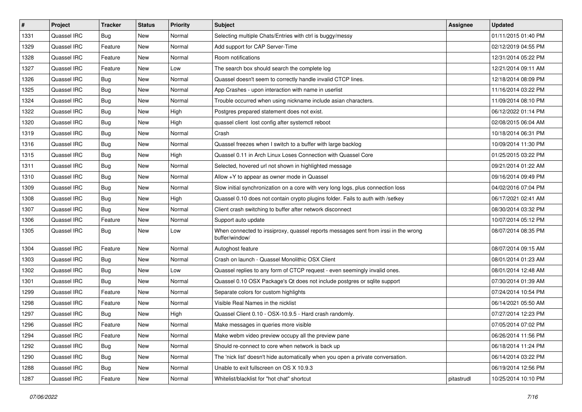| $\pmb{\#}$ | Project            | <b>Tracker</b> | <b>Status</b> | <b>Priority</b> | Subject                                                                                               | <b>Assignee</b> | <b>Updated</b>      |
|------------|--------------------|----------------|---------------|-----------------|-------------------------------------------------------------------------------------------------------|-----------------|---------------------|
| 1331       | Quassel IRC        | <b>Bug</b>     | New           | Normal          | Selecting multiple Chats/Entries with ctrl is buggy/messy                                             |                 | 01/11/2015 01:40 PM |
| 1329       | Quassel IRC        | Feature        | <b>New</b>    | Normal          | Add support for CAP Server-Time                                                                       |                 | 02/12/2019 04:55 PM |
| 1328       | Quassel IRC        | Feature        | New           | Normal          | Room notifications                                                                                    |                 | 12/31/2014 05:22 PM |
| 1327       | Quassel IRC        | Feature        | <b>New</b>    | Low             | The search box should search the complete log                                                         |                 | 12/21/2014 09:11 AM |
| 1326       | Quassel IRC        | Bug            | <b>New</b>    | Normal          | Quassel doesn't seem to correctly handle invalid CTCP lines.                                          |                 | 12/18/2014 08:09 PM |
| 1325       | Quassel IRC        | <b>Bug</b>     | <b>New</b>    | Normal          | App Crashes - upon interaction with name in userlist                                                  |                 | 11/16/2014 03:22 PM |
| 1324       | Quassel IRC        | Bug            | <b>New</b>    | Normal          | Trouble occurred when using nickname include asian characters.                                        |                 | 11/09/2014 08:10 PM |
| 1322       | Quassel IRC        | <b>Bug</b>     | New           | High            | Postgres prepared statement does not exist.                                                           |                 | 06/12/2022 01:14 PM |
| 1320       | Quassel IRC        | <b>Bug</b>     | <b>New</b>    | High            | quassel client lost config after systemctl reboot                                                     |                 | 02/08/2015 06:04 AM |
| 1319       | Quassel IRC        | <b>Bug</b>     | <b>New</b>    | Normal          | Crash                                                                                                 |                 | 10/18/2014 06:31 PM |
| 1316       | Quassel IRC        | <b>Bug</b>     | <b>New</b>    | Normal          | Quassel freezes when I switch to a buffer with large backlog                                          |                 | 10/09/2014 11:30 PM |
| 1315       | Quassel IRC        | <b>Bug</b>     | <b>New</b>    | High            | Quassel 0.11 in Arch Linux Loses Connection with Quassel Core                                         |                 | 01/25/2015 03:22 PM |
| 1311       | Quassel IRC        | Bug            | <b>New</b>    | Normal          | Selected, hovered url not shown in highlighted message                                                |                 | 09/21/2014 01:22 AM |
| 1310       | Quassel IRC        | <b>Bug</b>     | <b>New</b>    | Normal          | Allow +Y to appear as owner mode in Quassel                                                           |                 | 09/16/2014 09:49 PM |
| 1309       | Quassel IRC        | <b>Bug</b>     | <b>New</b>    | Normal          | Slow initial synchronization on a core with very long logs, plus connection loss                      |                 | 04/02/2016 07:04 PM |
| 1308       | Quassel IRC        | <b>Bug</b>     | New           | High            | Quassel 0.10 does not contain crypto plugins folder. Fails to auth with /setkey                       |                 | 06/17/2021 02:41 AM |
| 1307       | Quassel IRC        | <b>Bug</b>     | <b>New</b>    | Normal          | Client crash switching to buffer after network disconnect                                             |                 | 08/30/2014 03:32 PM |
| 1306       | Quassel IRC        | Feature        | <b>New</b>    | Normal          | Support auto update                                                                                   |                 | 10/07/2014 05:12 PM |
| 1305       | Quassel IRC        | <b>Bug</b>     | New           | Low             | When connected to irssiproxy, quassel reports messages sent from irssi in the wrong<br>buffer/window/ |                 | 08/07/2014 08:35 PM |
| 1304       | Quassel IRC        | Feature        | New           | Normal          | Autoghost feature                                                                                     |                 | 08/07/2014 09:15 AM |
| 1303       | Quassel IRC        | Bug            | <b>New</b>    | Normal          | Crash on launch - Quassel Monolithic OSX Client                                                       |                 | 08/01/2014 01:23 AM |
| 1302       | Quassel IRC        | <b>Bug</b>     | <b>New</b>    | Low             | Quassel replies to any form of CTCP request - even seemingly invalid ones.                            |                 | 08/01/2014 12:48 AM |
| 1301       | Quassel IRC        | <b>Bug</b>     | <b>New</b>    | Normal          | Quassel 0.10 OSX Package's Qt does not include postgres or sqlite support                             |                 | 07/30/2014 01:39 AM |
| 1299       | Quassel IRC        | Feature        | <b>New</b>    | Normal          | Separate colors for custom highlights                                                                 |                 | 07/24/2014 10:54 PM |
| 1298       | Quassel IRC        | Feature        | <b>New</b>    | Normal          | Visible Real Names in the nicklist                                                                    |                 | 06/14/2021 05:50 AM |
| 1297       | Quassel IRC        | Bug            | New           | High            | Quassel Client 0.10 - OSX-10.9.5 - Hard crash randomly.                                               |                 | 07/27/2014 12:23 PM |
| 1296       | <b>Quassel IRC</b> | Feature        | New           | Normal          | Make messages in queries more visible                                                                 |                 | 07/05/2014 07:02 PM |
| 1294       | Quassel IRC        | Feature        | New           | Normal          | Make webm video preview occupy all the preview pane                                                   |                 | 06/26/2014 11:56 PM |
| 1292       | Quassel IRC        | <b>Bug</b>     | New           | Normal          | Should re-connect to core when network is back up                                                     |                 | 06/18/2014 11:24 PM |
| 1290       | Quassel IRC        | <b>Bug</b>     | New           | Normal          | The 'nick list' doesn't hide automatically when you open a private conversation.                      |                 | 06/14/2014 03:22 PM |
| 1288       | Quassel IRC        | <b>Bug</b>     | New           | Normal          | Unable to exit fullscreen on OS X 10.9.3                                                              |                 | 06/19/2014 12:56 PM |
| 1287       | Quassel IRC        | Feature        | New           | Normal          | Whitelist/blacklist for "hot chat" shortcut                                                           | pitastrudl      | 10/25/2014 10:10 PM |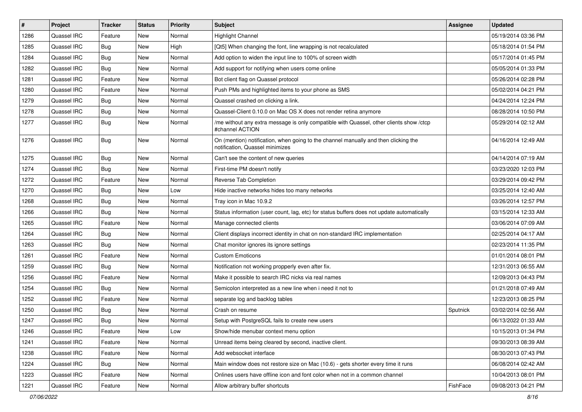| $\pmb{\sharp}$ | Project     | <b>Tracker</b> | <b>Status</b> | Priority | Subject                                                                                                                | <b>Assignee</b> | <b>Updated</b>      |
|----------------|-------------|----------------|---------------|----------|------------------------------------------------------------------------------------------------------------------------|-----------------|---------------------|
| 1286           | Quassel IRC | Feature        | New           | Normal   | Highlight Channel                                                                                                      |                 | 05/19/2014 03:36 PM |
| 1285           | Quassel IRC | <b>Bug</b>     | <b>New</b>    | High     | [Qt5] When changing the font, line wrapping is not recalculated                                                        |                 | 05/18/2014 01:54 PM |
| 1284           | Quassel IRC | <b>Bug</b>     | <b>New</b>    | Normal   | Add option to widen the input line to 100% of screen width                                                             |                 | 05/17/2014 01:45 PM |
| 1282           | Quassel IRC | <b>Bug</b>     | <b>New</b>    | Normal   | Add support for notifying when users come online                                                                       |                 | 05/05/2014 01:33 PM |
| 1281           | Quassel IRC | Feature        | <b>New</b>    | Normal   | Bot client flag on Quassel protocol                                                                                    |                 | 05/26/2014 02:28 PM |
| 1280           | Quassel IRC | Feature        | New           | Normal   | Push PMs and highlighted items to your phone as SMS                                                                    |                 | 05/02/2014 04:21 PM |
| 1279           | Quassel IRC | <b>Bug</b>     | <b>New</b>    | Normal   | Quassel crashed on clicking a link.                                                                                    |                 | 04/24/2014 12:24 PM |
| 1278           | Quassel IRC | <b>Bug</b>     | <b>New</b>    | Normal   | Quassel-Client 0.10.0 on Mac OS X does not render retina anymore                                                       |                 | 08/28/2014 10:50 PM |
| 1277           | Quassel IRC | <b>Bug</b>     | <b>New</b>    | Normal   | /me without any extra message is only compatible with Quassel, other clients show /ctcp<br>#channel ACTION             |                 | 05/29/2014 02:12 AM |
| 1276           | Quassel IRC | Bug            | <b>New</b>    | Normal   | On (mention) notification, when going to the channel manually and then clicking the<br>notification, Quassel minimizes |                 | 04/16/2014 12:49 AM |
| 1275           | Quassel IRC | <b>Bug</b>     | <b>New</b>    | Normal   | Can't see the content of new queries                                                                                   |                 | 04/14/2014 07:19 AM |
| 1274           | Quassel IRC | Bug            | <b>New</b>    | Normal   | First-time PM doesn't notify                                                                                           |                 | 03/23/2020 12:03 PM |
| 1272           | Quassel IRC | Feature        | <b>New</b>    | Normal   | Reverse Tab Completion                                                                                                 |                 | 03/29/2014 09:42 PM |
| 1270           | Quassel IRC | <b>Bug</b>     | <b>New</b>    | Low      | Hide inactive networks hides too many networks                                                                         |                 | 03/25/2014 12:40 AM |
| 1268           | Quassel IRC | <b>Bug</b>     | <b>New</b>    | Normal   | Tray icon in Mac 10.9.2                                                                                                |                 | 03/26/2014 12:57 PM |
| 1266           | Quassel IRC | <b>Bug</b>     | <b>New</b>    | Normal   | Status information (user count, lag, etc) for status buffers does not update automatically                             |                 | 03/15/2014 12:33 AM |
| 1265           | Quassel IRC | Feature        | <b>New</b>    | Normal   | Manage connected clients                                                                                               |                 | 03/06/2014 07:09 AM |
| 1264           | Quassel IRC | <b>Bug</b>     | <b>New</b>    | Normal   | Client displays incorrect identity in chat on non-standard IRC implementation                                          |                 | 02/25/2014 04:17 AM |
| 1263           | Quassel IRC | <b>Bug</b>     | <b>New</b>    | Normal   | Chat monitor ignores its ignore settings                                                                               |                 | 02/23/2014 11:35 PM |
| 1261           | Quassel IRC | Feature        | <b>New</b>    | Normal   | <b>Custom Emoticons</b>                                                                                                |                 | 01/01/2014 08:01 PM |
| 1259           | Quassel IRC | <b>Bug</b>     | <b>New</b>    | Normal   | Notification not working propperly even after fix.                                                                     |                 | 12/31/2013 06:55 AM |
| 1256           | Quassel IRC | Feature        | New           | Normal   | Make it possible to search IRC nicks via real names                                                                    |                 | 12/09/2013 04:43 PM |
| 1254           | Quassel IRC | <b>Bug</b>     | <b>New</b>    | Normal   | Semicolon interpreted as a new line when i need it not to                                                              |                 | 01/21/2018 07:49 AM |
| 1252           | Quassel IRC | Feature        | <b>New</b>    | Normal   | separate log and backlog tables                                                                                        |                 | 12/23/2013 08:25 PM |
| 1250           | Quassel IRC | <b>Bug</b>     | New           | Normal   | Crash on resume                                                                                                        | Sputnick        | 03/02/2014 02:56 AM |
| 1247           | Quassel IRC | <b>Bug</b>     | New           | Normal   | Setup with PostgreSQL fails to create new users                                                                        |                 | 06/13/2022 01:33 AM |
| 1246           | Quassel IRC | Feature        | New           | Low      | Show/hide menubar context menu option                                                                                  |                 | 10/15/2013 01:34 PM |
| 1241           | Quassel IRC | Feature        | New           | Normal   | Unread items being cleared by second, inactive client.                                                                 |                 | 09/30/2013 08:39 AM |
| 1238           | Quassel IRC | Feature        | <b>New</b>    | Normal   | Add websocket interface                                                                                                |                 | 08/30/2013 07:43 PM |
| 1224           | Quassel IRC | <b>Bug</b>     | New           | Normal   | Main window does not restore size on Mac (10.6) - gets shorter every time it runs                                      |                 | 06/08/2014 02:42 AM |
| 1223           | Quassel IRC | Feature        | New           | Normal   | Onlines users have offline icon and font color when not in a common channel                                            |                 | 10/04/2013 08:01 PM |
| 1221           | Quassel IRC | Feature        | New           | Normal   | Allow arbitrary buffer shortcuts                                                                                       | FishFace        | 09/08/2013 04:21 PM |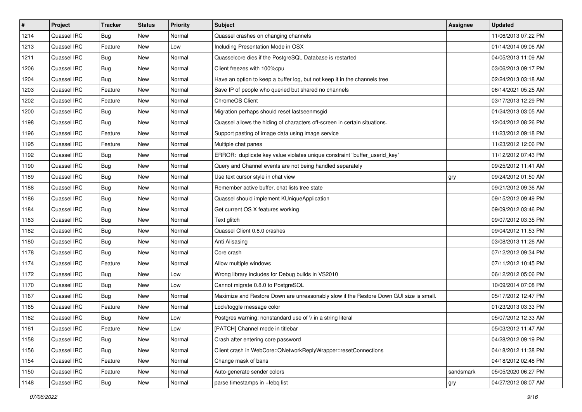| $\vert$ # | Project     | <b>Tracker</b> | <b>Status</b> | <b>Priority</b> | <b>Subject</b>                                                                         | <b>Assignee</b> | <b>Updated</b>      |
|-----------|-------------|----------------|---------------|-----------------|----------------------------------------------------------------------------------------|-----------------|---------------------|
| 1214      | Quassel IRC | <b>Bug</b>     | New           | Normal          | Quassel crashes on changing channels                                                   |                 | 11/06/2013 07:22 PM |
| 1213      | Quassel IRC | Feature        | New           | Low             | Including Presentation Mode in OSX                                                     |                 | 01/14/2014 09:06 AM |
| 1211      | Quassel IRC | Bug            | New           | Normal          | Quasselcore dies if the PostgreSQL Database is restarted                               |                 | 04/05/2013 11:09 AM |
| 1206      | Quassel IRC | <b>Bug</b>     | New           | Normal          | Client freezes with 100%cpu                                                            |                 | 03/06/2013 09:17 PM |
| 1204      | Quassel IRC | <b>Bug</b>     | <b>New</b>    | Normal          | Have an option to keep a buffer log, but not keep it in the channels tree              |                 | 02/24/2013 03:18 AM |
| 1203      | Quassel IRC | Feature        | New           | Normal          | Save IP of people who queried but shared no channels                                   |                 | 06/14/2021 05:25 AM |
| 1202      | Quassel IRC | Feature        | New           | Normal          | ChromeOS Client                                                                        |                 | 03/17/2013 12:29 PM |
| 1200      | Quassel IRC | Bug            | <b>New</b>    | Normal          | Migration perhaps should reset lastseenmsgid                                           |                 | 01/24/2013 03:05 AM |
| 1198      | Quassel IRC | Bug            | New           | Normal          | Quassel allows the hiding of characters off-screen in certain situations.              |                 | 12/04/2012 08:26 PM |
| 1196      | Quassel IRC | Feature        | New           | Normal          | Support pasting of image data using image service                                      |                 | 11/23/2012 09:18 PM |
| 1195      | Quassel IRC | Feature        | New           | Normal          | Multiple chat panes                                                                    |                 | 11/23/2012 12:06 PM |
| 1192      | Quassel IRC | Bug            | <b>New</b>    | Normal          | ERROR: duplicate key value violates unique constraint "buffer userid key"              |                 | 11/12/2012 07:43 PM |
| 1190      | Quassel IRC | <b>Bug</b>     | New           | Normal          | Query and Channel events are not being handled separately                              |                 | 09/25/2012 11:41 AM |
| 1189      | Quassel IRC | Bug            | New           | Normal          | Use text cursor style in chat view                                                     | gry             | 09/24/2012 01:50 AM |
| 1188      | Quassel IRC | <b>Bug</b>     | <b>New</b>    | Normal          | Remember active buffer, chat lists tree state                                          |                 | 09/21/2012 09:36 AM |
| 1186      | Quassel IRC | Bug            | <b>New</b>    | Normal          | Quassel should implement KUniqueApplication                                            |                 | 09/15/2012 09:49 PM |
| 1184      | Quassel IRC | Bug            | New           | Normal          | Get current OS X features working                                                      |                 | 09/09/2012 03:46 PM |
| 1183      | Quassel IRC | <b>Bug</b>     | <b>New</b>    | Normal          | Text glitch                                                                            |                 | 09/07/2012 03:35 PM |
| 1182      | Quassel IRC | <b>Bug</b>     | <b>New</b>    | Normal          | Quassel Client 0.8.0 crashes                                                           |                 | 09/04/2012 11:53 PM |
| 1180      | Quassel IRC | Bug            | New           | Normal          | Anti Alisasing                                                                         |                 | 03/08/2013 11:26 AM |
| 1178      | Quassel IRC | Bug            | <b>New</b>    | Normal          | Core crash                                                                             |                 | 07/12/2012 09:34 PM |
| 1174      | Quassel IRC | Feature        | New           | Normal          | Allow multiple windows                                                                 |                 | 07/11/2012 10:45 PM |
| 1172      | Quassel IRC | Bug            | <b>New</b>    | Low             | Wrong library includes for Debug builds in VS2010                                      |                 | 06/12/2012 05:06 PM |
| 1170      | Quassel IRC | <b>Bug</b>     | New           | Low             | Cannot migrate 0.8.0 to PostgreSQL                                                     |                 | 10/09/2014 07:08 PM |
| 1167      | Quassel IRC | <b>Bug</b>     | <b>New</b>    | Normal          | Maximize and Restore Down are unreasonably slow if the Restore Down GUI size is small. |                 | 05/17/2012 12:47 PM |
| 1165      | Quassel IRC | Feature        | New           | Normal          | Lock/toggle message color                                                              |                 | 01/23/2013 03:33 PM |
| 1162      | Quassel IRC | <b>Bug</b>     | New           | Low             | Postgres warning: nonstandard use of \\ in a string literal                            |                 | 05/07/2012 12:33 AM |
| 1161      | Quassel IRC | Feature        | New           | Low             | [PATCH] Channel mode in titlebar                                                       |                 | 05/03/2012 11:47 AM |
| 1158      | Quassel IRC | Bug            | New           | Normal          | Crash after entering core password                                                     |                 | 04/28/2012 09:19 PM |
| 1156      | Quassel IRC | Bug            | New           | Normal          | Client crash in WebCore:: QNetworkReplyWrapper:: resetConnections                      |                 | 04/18/2012 11:38 PM |
| 1154      | Quassel IRC | Feature        | New           | Normal          | Change mask of bans                                                                    |                 | 04/18/2012 02:48 PM |
| 1150      | Quassel IRC | Feature        | New           | Normal          | Auto-generate sender colors                                                            | sandsmark       | 05/05/2020 06:27 PM |
| 1148      | Quassel IRC | Bug            | New           | Normal          | parse timestamps in +lebq list                                                         | gry             | 04/27/2012 08:07 AM |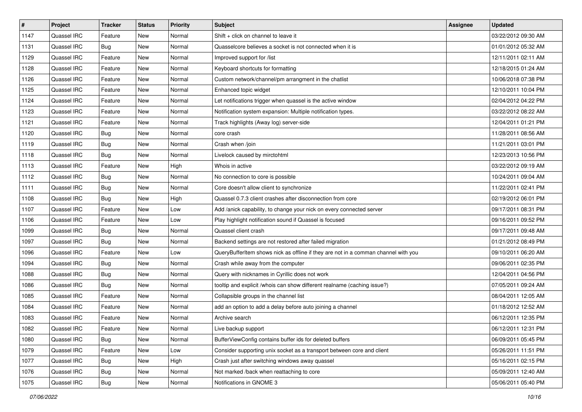| $\vert$ # | Project     | <b>Tracker</b> | <b>Status</b> | <b>Priority</b> | <b>Subject</b>                                                                     | Assignee | <b>Updated</b>      |
|-----------|-------------|----------------|---------------|-----------------|------------------------------------------------------------------------------------|----------|---------------------|
| 1147      | Quassel IRC | Feature        | New           | Normal          | Shift + click on channel to leave it                                               |          | 03/22/2012 09:30 AM |
| 1131      | Quassel IRC | Bug            | New           | Normal          | Quasselcore believes a socket is not connected when it is                          |          | 01/01/2012 05:32 AM |
| 1129      | Quassel IRC | Feature        | New           | Normal          | Improved support for /list                                                         |          | 12/11/2011 02:11 AM |
| 1128      | Quassel IRC | Feature        | New           | Normal          | Keyboard shortcuts for formatting                                                  |          | 12/18/2015 01:24 AM |
| 1126      | Quassel IRC | Feature        | New           | Normal          | Custom network/channel/pm arrangment in the chatlist                               |          | 10/06/2018 07:38 PM |
| 1125      | Quassel IRC | Feature        | New           | Normal          | Enhanced topic widget                                                              |          | 12/10/2011 10:04 PM |
| 1124      | Quassel IRC | Feature        | New           | Normal          | Let notifications trigger when quassel is the active window                        |          | 02/04/2012 04:22 PM |
| 1123      | Quassel IRC | Feature        | <b>New</b>    | Normal          | Notification system expansion: Multiple notification types.                        |          | 03/22/2012 08:22 AM |
| 1121      | Quassel IRC | Feature        | New           | Normal          | Track highlights (Away log) server-side                                            |          | 12/04/2011 01:21 PM |
| 1120      | Quassel IRC | <b>Bug</b>     | New           | Normal          | core crash                                                                         |          | 11/28/2011 08:56 AM |
| 1119      | Quassel IRC | <b>Bug</b>     | New           | Normal          | Crash when /join                                                                   |          | 11/21/2011 03:01 PM |
| 1118      | Quassel IRC | Bug            | New           | Normal          | Livelock caused by mirctohtml                                                      |          | 12/23/2013 10:56 PM |
| 1113      | Quassel IRC | Feature        | New           | High            | Whois in active                                                                    |          | 03/22/2012 09:19 AM |
| 1112      | Quassel IRC | <b>Bug</b>     | New           | Normal          | No connection to core is possible                                                  |          | 10/24/2011 09:04 AM |
| 1111      | Quassel IRC | <b>Bug</b>     | New           | Normal          | Core doesn't allow client to synchronize                                           |          | 11/22/2011 02:41 PM |
| 1108      | Quassel IRC | <b>Bug</b>     | New           | High            | Quassel 0.7.3 client crashes after disconnection from core                         |          | 02/19/2012 06:01 PM |
| 1107      | Quassel IRC | Feature        | New           | Low             | Add /anick capability, to change your nick on every connected server               |          | 09/17/2011 08:31 PM |
| 1106      | Quassel IRC | Feature        | New           | Low             | Play highlight notification sound if Quassel is focused                            |          | 09/16/2011 09:52 PM |
| 1099      | Quassel IRC | <b>Bug</b>     | <b>New</b>    | Normal          | Quassel client crash                                                               |          | 09/17/2011 09:48 AM |
| 1097      | Quassel IRC | Bug            | New           | Normal          | Backend settings are not restored after failed migration                           |          | 01/21/2012 08:49 PM |
| 1096      | Quassel IRC | Feature        | <b>New</b>    | Low             | QueryBufferItem shows nick as offline if they are not in a comman channel with you |          | 09/10/2011 06:20 AM |
| 1094      | Quassel IRC | <b>Bug</b>     | New           | Normal          | Crash while away from the computer                                                 |          | 09/06/2011 02:35 PM |
| 1088      | Quassel IRC | Bug            | New           | Normal          | Query with nicknames in Cyrillic does not work                                     |          | 12/04/2011 04:56 PM |
| 1086      | Quassel IRC | <b>Bug</b>     | New           | Normal          | tooltip and explicit /whois can show different realname (caching issue?)           |          | 07/05/2011 09:24 AM |
| 1085      | Quassel IRC | Feature        | <b>New</b>    | Normal          | Collapsible groups in the channel list                                             |          | 08/04/2011 12:05 AM |
| 1084      | Quassel IRC | Feature        | New           | Normal          | add an option to add a delay before auto joining a channel                         |          | 01/18/2012 12:52 AM |
| 1083      | Quassel IRC | Feature        | New           | Normal          | Archive search                                                                     |          | 06/12/2011 12:35 PM |
| 1082      | Quassel IRC | Feature        | New           | Normal          | Live backup support                                                                |          | 06/12/2011 12:31 PM |
| 1080      | Quassel IRC | Bug            | New           | Normal          | Buffer View Config contains buffer ids for deleted buffers                         |          | 06/09/2011 05:45 PM |
| 1079      | Quassel IRC | Feature        | New           | Low             | Consider supporting unix socket as a transport between core and client             |          | 05/26/2011 11:51 PM |
| 1077      | Quassel IRC | <b>Bug</b>     | New           | High            | Crash just after switching windows away quassel                                    |          | 05/16/2011 02:15 PM |
| 1076      | Quassel IRC | <b>Bug</b>     | New           | Normal          | Not marked /back when reattaching to core                                          |          | 05/09/2011 12:40 AM |
| 1075      | Quassel IRC | Bug            | New           | Normal          | Notifications in GNOME 3                                                           |          | 05/06/2011 05:40 PM |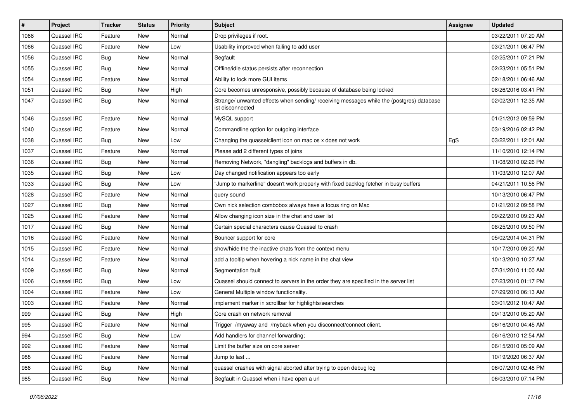| $\#$ | Project     | <b>Tracker</b> | <b>Status</b> | <b>Priority</b> | <b>Subject</b>                                                                                               | Assignee | <b>Updated</b>      |
|------|-------------|----------------|---------------|-----------------|--------------------------------------------------------------------------------------------------------------|----------|---------------------|
| 1068 | Quassel IRC | Feature        | <b>New</b>    | Normal          | Drop privileges if root.                                                                                     |          | 03/22/2011 07:20 AM |
| 1066 | Quassel IRC | Feature        | <b>New</b>    | Low             | Usability improved when failing to add user                                                                  |          | 03/21/2011 06:47 PM |
| 1056 | Quassel IRC | <b>Bug</b>     | <b>New</b>    | Normal          | Segfault                                                                                                     |          | 02/25/2011 07:21 PM |
| 1055 | Quassel IRC | <b>Bug</b>     | <b>New</b>    | Normal          | Offline/idle status persists after reconnection                                                              |          | 02/23/2011 05:51 PM |
| 1054 | Quassel IRC | Feature        | <b>New</b>    | Normal          | Ability to lock more GUI items                                                                               |          | 02/18/2011 06:46 AM |
| 1051 | Quassel IRC | <b>Bug</b>     | <b>New</b>    | High            | Core becomes unresponsive, possibly because of database being locked                                         |          | 08/26/2016 03:41 PM |
| 1047 | Quassel IRC | <b>Bug</b>     | <b>New</b>    | Normal          | Strange/ unwanted effects when sending/ receiving messages while the (postgres) database<br>ist disconnected |          | 02/02/2011 12:35 AM |
| 1046 | Quassel IRC | Feature        | <b>New</b>    | Normal          | MySQL support                                                                                                |          | 01/21/2012 09:59 PM |
| 1040 | Quassel IRC | Feature        | <b>New</b>    | Normal          | Commandline option for outgoing interface                                                                    |          | 03/19/2016 02:42 PM |
| 1038 | Quassel IRC | <b>Bug</b>     | <b>New</b>    | Low             | Changing the quasselclient icon on mac os x does not work                                                    | EgS      | 03/22/2011 12:01 AM |
| 1037 | Quassel IRC | Feature        | New           | Normal          | Please add 2 different types of joins                                                                        |          | 11/10/2010 12:14 PM |
| 1036 | Quassel IRC | Bug            | New           | Normal          | Removing Network, "dangling" backlogs and buffers in db.                                                     |          | 11/08/2010 02:26 PM |
| 1035 | Quassel IRC | <b>Bug</b>     | <b>New</b>    | Low             | Day changed notification appears too early                                                                   |          | 11/03/2010 12:07 AM |
| 1033 | Quassel IRC | Bug            | <b>New</b>    | Low             | "Jump to markerline" doesn't work properly with fixed backlog fetcher in busy buffers                        |          | 04/21/2011 10:56 PM |
| 1028 | Quassel IRC | Feature        | <b>New</b>    | Normal          | query sound                                                                                                  |          | 10/13/2010 06:47 PM |
| 1027 | Quassel IRC | <b>Bug</b>     | <b>New</b>    | Normal          | Own nick selection combobox always have a focus ring on Mac                                                  |          | 01/21/2012 09:58 PM |
| 1025 | Quassel IRC | Feature        | <b>New</b>    | Normal          | Allow changing icon size in the chat and user list                                                           |          | 09/22/2010 09:23 AM |
| 1017 | Quassel IRC | Bug            | <b>New</b>    | Normal          | Certain special characters cause Quassel to crash                                                            |          | 08/25/2010 09:50 PM |
| 1016 | Quassel IRC | Feature        | <b>New</b>    | Normal          | Bouncer support for core                                                                                     |          | 05/02/2014 04:31 PM |
| 1015 | Quassel IRC | Feature        | New           | Normal          | show/hide the the inactive chats from the context menu                                                       |          | 10/17/2010 09:20 AM |
| 1014 | Quassel IRC | Feature        | <b>New</b>    | Normal          | add a tooltip when hovering a nick name in the chat view                                                     |          | 10/13/2010 10:27 AM |
| 1009 | Quassel IRC | <b>Bug</b>     | <b>New</b>    | Normal          | Segmentation fault                                                                                           |          | 07/31/2010 11:00 AM |
| 1006 | Quassel IRC | Bug            | <b>New</b>    | Low             | Quassel should connect to servers in the order they are specified in the server list                         |          | 07/23/2010 01:17 PM |
| 1004 | Quassel IRC | Feature        | <b>New</b>    | Low             | General Multiple window functionality.                                                                       |          | 07/29/2010 06:13 AM |
| 1003 | Quassel IRC | Feature        | New           | Normal          | implement marker in scrollbar for highlights/searches                                                        |          | 03/01/2012 10:47 AM |
| 999  | Quassel IRC | Bug            | <b>New</b>    | High            | Core crash on network removal                                                                                |          | 09/13/2010 05:20 AM |
| 995  | Quassel IRC | Feature        | <b>New</b>    | Normal          | Trigger /myaway and /myback when you disconnect/connect client.                                              |          | 06/16/2010 04:45 AM |
| 994  | Quassel IRC | Bug            | <b>New</b>    | Low             | Add handlers for channel forwarding;                                                                         |          | 06/16/2010 12:54 AM |
| 992  | Quassel IRC | Feature        | New           | Normal          | Limit the buffer size on core server                                                                         |          | 06/15/2010 05:09 AM |
| 988  | Quassel IRC | Feature        | New           | Normal          | Jump to last                                                                                                 |          | 10/19/2020 06:37 AM |
| 986  | Quassel IRC | <b>Bug</b>     | New           | Normal          | quassel crashes with signal aborted after trying to open debug log                                           |          | 06/07/2010 02:48 PM |
| 985  | Quassel IRC | <b>Bug</b>     | New           | Normal          | Segfault in Quassel when i have open a url                                                                   |          | 06/03/2010 07:14 PM |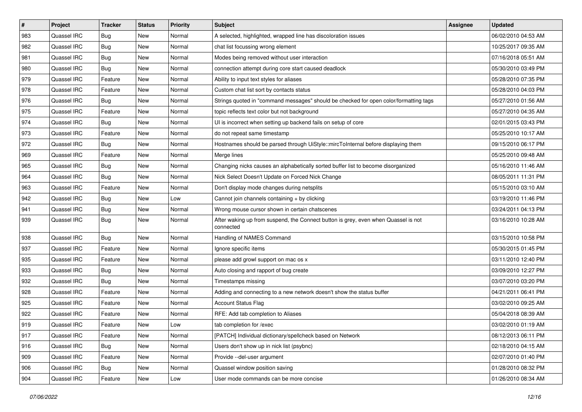| $\sharp$ | Project     | <b>Tracker</b> | <b>Status</b> | <b>Priority</b> | <b>Subject</b>                                                                                  | <b>Assignee</b> | <b>Updated</b>      |
|----------|-------------|----------------|---------------|-----------------|-------------------------------------------------------------------------------------------------|-----------------|---------------------|
| 983      | Quassel IRC | <b>Bug</b>     | New           | Normal          | A selected, highlighted, wrapped line has discoloration issues                                  |                 | 06/02/2010 04:53 AM |
| 982      | Quassel IRC | Bug            | New           | Normal          | chat list focussing wrong element                                                               |                 | 10/25/2017 09:35 AM |
| 981      | Quassel IRC | <b>Bug</b>     | New           | Normal          | Modes being removed without user interaction                                                    |                 | 07/16/2018 05:51 AM |
| 980      | Quassel IRC | Bug            | New           | Normal          | connection attempt during core start caused deadlock                                            |                 | 05/30/2010 03:49 PM |
| 979      | Quassel IRC | Feature        | New           | Normal          | Ability to input text styles for aliases                                                        |                 | 05/28/2010 07:35 PM |
| 978      | Quassel IRC | Feature        | New           | Normal          | Custom chat list sort by contacts status                                                        |                 | 05/28/2010 04:03 PM |
| 976      | Quassel IRC | <b>Bug</b>     | New           | Normal          | Strings quoted in "command messages" should be checked for open color/formatting tags           |                 | 05/27/2010 01:56 AM |
| 975      | Quassel IRC | Feature        | New           | Normal          | topic reflects text color but not background                                                    |                 | 05/27/2010 04:35 AM |
| 974      | Quassel IRC | Bug            | New           | Normal          | UI is incorrect when setting up backend fails on setup of core                                  |                 | 02/01/2015 03:43 PM |
| 973      | Quassel IRC | Feature        | New           | Normal          | do not repeat same timestamp                                                                    |                 | 05/25/2010 10:17 AM |
| 972      | Quassel IRC | <b>Bug</b>     | New           | Normal          | Hostnames should be parsed through UiStyle::mircToInternal before displaying them               |                 | 09/15/2010 06:17 PM |
| 969      | Quassel IRC | Feature        | New           | Normal          | Merge lines                                                                                     |                 | 05/25/2010 09:48 AM |
| 965      | Quassel IRC | Bug            | New           | Normal          | Changing nicks causes an alphabetically sorted buffer list to become disorganized               |                 | 05/16/2010 11:46 AM |
| 964      | Quassel IRC | <b>Bug</b>     | New           | Normal          | Nick Select Doesn't Update on Forced Nick Change                                                |                 | 08/05/2011 11:31 PM |
| 963      | Quassel IRC | Feature        | New           | Normal          | Don't display mode changes during netsplits                                                     |                 | 05/15/2010 03:10 AM |
| 942      | Quassel IRC | <b>Bug</b>     | New           | Low             | Cannot join channels containing + by clicking                                                   |                 | 03/19/2010 11:46 PM |
| 941      | Quassel IRC | Bug            | New           | Normal          | Wrong mouse cursor shown in certain chatscenes                                                  |                 | 03/24/2011 04:13 PM |
| 939      | Quassel IRC | <b>Bug</b>     | New           | Normal          | After waking up from suspend, the Connect button is grey, even when Quassel is not<br>connected |                 | 03/16/2010 10:28 AM |
| 938      | Quassel IRC | <b>Bug</b>     | New           | Normal          | Handling of NAMES Command                                                                       |                 | 03/15/2010 10:58 PM |
| 937      | Quassel IRC | Feature        | New           | Normal          | Ignore specific items                                                                           |                 | 05/30/2015 01:45 PM |
| 935      | Quassel IRC | Feature        | New           | Normal          | please add growl support on mac os x                                                            |                 | 03/11/2010 12:40 PM |
| 933      | Quassel IRC | <b>Bug</b>     | New           | Normal          | Auto closing and rapport of bug create                                                          |                 | 03/09/2010 12:27 PM |
| 932      | Quassel IRC | <b>Bug</b>     | New           | Normal          | Timestamps missing                                                                              |                 | 03/07/2010 03:20 PM |
| 928      | Quassel IRC | Feature        | New           | Normal          | Adding and connecting to a new network doesn't show the status buffer                           |                 | 04/21/2011 06:41 PM |
| 925      | Quassel IRC | Feature        | New           | Normal          | <b>Account Status Flag</b>                                                                      |                 | 03/02/2010 09:25 AM |
| 922      | Quassel IRC | Feature        | New           | Normal          | RFE: Add tab completion to Aliases                                                              |                 | 05/04/2018 08:39 AM |
| 919      | Quassel IRC | Feature        | New           | Low             | tab completion for /exec                                                                        |                 | 03/02/2010 01:19 AM |
| 917      | Quassel IRC | Feature        | New           | Normal          | [PATCH] Individual dictionary/spellcheck based on Network                                       |                 | 08/12/2013 06:11 PM |
| 916      | Quassel IRC | <b>Bug</b>     | New           | Normal          | Users don't show up in nick list (psybnc)                                                       |                 | 02/18/2010 04:15 AM |
| 909      | Quassel IRC | Feature        | New           | Normal          | Provide --del-user argument                                                                     |                 | 02/07/2010 01:40 PM |
| 906      | Quassel IRC | <b>Bug</b>     | New           | Normal          | Quassel window position saving                                                                  |                 | 01/28/2010 08:32 PM |
| 904      | Quassel IRC | Feature        | New           | Low             | User mode commands can be more concise                                                          |                 | 01/26/2010 08:34 AM |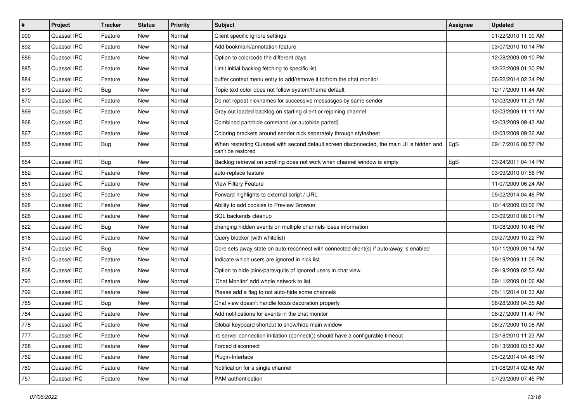| $\sharp$ | Project     | <b>Tracker</b> | <b>Status</b> | <b>Priority</b> | <b>Subject</b>                                                                                                  | <b>Assignee</b> | <b>Updated</b>      |
|----------|-------------|----------------|---------------|-----------------|-----------------------------------------------------------------------------------------------------------------|-----------------|---------------------|
| 900      | Quassel IRC | Feature        | New           | Normal          | Client specific ignore settings                                                                                 |                 | 01/22/2010 11:00 AM |
| 892      | Quassel IRC | Feature        | New           | Normal          | Add bookmark/annotation feature                                                                                 |                 | 03/07/2010 10:14 PM |
| 886      | Quassel IRC | Feature        | New           | Normal          | Option to colorcode the different days                                                                          |                 | 12/28/2009 09:10 PM |
| 885      | Quassel IRC | Feature        | New           | Normal          | Limit initial backlog fetching to specific list                                                                 |                 | 12/22/2009 01:30 PM |
| 884      | Quassel IRC | Feature        | New           | Normal          | buffer context menu entry to add/remove it to/from the chat monitor                                             |                 | 06/22/2014 02:34 PM |
| 879      | Quassel IRC | <b>Bug</b>     | New           | Normal          | Topic text color does not follow system/theme default                                                           |                 | 12/17/2009 11:44 AM |
| 870      | Quassel IRC | Feature        | New           | Normal          | Do not repeat nicknames for successive messasges by same sender                                                 |                 | 12/03/2009 11:21 AM |
| 869      | Quassel IRC | Feature        | New           | Normal          | Gray out loaded backlog on starting client or rejoining channel                                                 |                 | 12/03/2009 11:11 AM |
| 868      | Quassel IRC | Feature        | New           | Normal          | Combined part/hide command (or autohide parted)                                                                 |                 | 12/03/2009 09:43 AM |
| 867      | Quassel IRC | Feature        | New           | Normal          | Coloring brackets around sender nick seperately through stylesheet                                              |                 | 12/03/2009 09:36 AM |
| 855      | Quassel IRC | <b>Bug</b>     | New           | Normal          | When restarting Quassel with second default screen disconnected, the main UI is hidden and<br>can't be restored | EgS             | 09/17/2016 08:57 PM |
| 854      | Quassel IRC | <b>Bug</b>     | New           | Normal          | Backlog retrieval on scrolling does not work when channel window is empty                                       | EgS             | 03/24/2011 04:14 PM |
| 852      | Quassel IRC | Feature        | New           | Normal          | auto-replace feature                                                                                            |                 | 03/09/2010 07:56 PM |
| 851      | Quassel IRC | Feature        | New           | Normal          | View Filtery Feature                                                                                            |                 | 11/07/2009 06:24 AM |
| 836      | Quassel IRC | Feature        | New           | Normal          | Forward highlights to external script / URL                                                                     |                 | 05/02/2014 04:46 PM |
| 828      | Quassel IRC | Feature        | New           | Normal          | Ability to add cookies to Preview Browser                                                                       |                 | 10/14/2009 03:06 PM |
| 826      | Quassel IRC | Feature        | New           | Normal          | SQL backends cleanup                                                                                            |                 | 03/09/2010 08:01 PM |
| 822      | Quassel IRC | Bug            | New           | Normal          | changing hidden events on multiple channels loses information                                                   |                 | 10/08/2009 10:48 PM |
| 816      | Quassel IRC | Feature        | New           | Normal          | Query blocker (with whitelist)                                                                                  |                 | 09/27/2009 10:22 PM |
| 814      | Quassel IRC | Bug            | New           | Normal          | Core sets away state on auto-reconnect with connected client(s) if auto-away is enabled                         |                 | 10/11/2009 09:14 AM |
| 810      | Quassel IRC | Feature        | New           | Normal          | Indicate which users are ignored in nick list                                                                   |                 | 09/19/2009 11:06 PM |
| 808      | Quassel IRC | Feature        | New           | Normal          | Option to hide joins/parts/quits of ignored users in chat view.                                                 |                 | 09/19/2009 02:52 AM |
| 793      | Quassel IRC | Feature        | New           | Normal          | 'Chat Monitor' add whole network to list                                                                        |                 | 09/11/2009 01:06 AM |
| 792      | Quassel IRC | Feature        | New           | Normal          | Please add a flag to not auto-hide some channels                                                                |                 | 05/11/2014 01:33 AM |
| 785      | Quassel IRC | Bug            | New           | Normal          | Chat view doesn't handle focus decoration properly                                                              |                 | 08/28/2009 04:35 AM |
| 784      | Quassel IRC | Feature        | New           | Normal          | Add notifications for events in the chat monitor                                                                |                 | 08/27/2009 11:47 PM |
| 778      | Quassel IRC | Feature        | New           | Normal          | Global keyboard shortcut to show/hide main window                                                               |                 | 08/27/2009 10:08 AM |
| 777      | Quassel IRC | Feature        | New           | Normal          | irc server connection initiation (connect()) should have a configurable timeout                                 |                 | 03/18/2010 11:23 AM |
| 768      | Quassel IRC | Feature        | New           | Normal          | Forced disconnect                                                                                               |                 | 08/13/2009 03:53 AM |
| 762      | Quassel IRC | Feature        | New           | Normal          | Plugin-Interface                                                                                                |                 | 05/02/2014 04:48 PM |
| 760      | Quassel IRC | Feature        | New           | Normal          | Notification for a single channel                                                                               |                 | 01/08/2014 02:48 AM |
| 757      | Quassel IRC | Feature        | New           | Normal          | PAM authentication                                                                                              |                 | 07/29/2009 07:45 PM |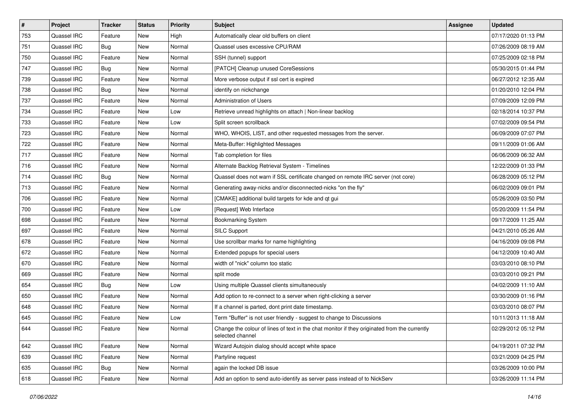| $\vert$ # | Project     | <b>Tracker</b> | <b>Status</b> | <b>Priority</b> | <b>Subject</b>                                                                                                   | Assignee | <b>Updated</b>      |
|-----------|-------------|----------------|---------------|-----------------|------------------------------------------------------------------------------------------------------------------|----------|---------------------|
| 753       | Quassel IRC | Feature        | New           | High            | Automatically clear old buffers on client                                                                        |          | 07/17/2020 01:13 PM |
| 751       | Quassel IRC | Bug            | <b>New</b>    | Normal          | Quassel uses excessive CPU/RAM                                                                                   |          | 07/26/2009 08:19 AM |
| 750       | Quassel IRC | Feature        | New           | Normal          | SSH (tunnel) support                                                                                             |          | 07/25/2009 02:18 PM |
| 747       | Quassel IRC | Bug            | New           | Normal          | [PATCH] Cleanup unused CoreSessions                                                                              |          | 05/30/2015 01:44 PM |
| 739       | Quassel IRC | Feature        | New           | Normal          | More verbose output if ssl cert is expired                                                                       |          | 06/27/2012 12:35 AM |
| 738       | Quassel IRC | <b>Bug</b>     | New           | Normal          | identify on nickchange                                                                                           |          | 01/20/2010 12:04 PM |
| 737       | Quassel IRC | Feature        | New           | Normal          | <b>Administration of Users</b>                                                                                   |          | 07/09/2009 12:09 PM |
| 734       | Quassel IRC | Feature        | New           | Low             | Retrieve unread highlights on attach   Non-linear backlog                                                        |          | 02/18/2014 10:37 PM |
| 733       | Quassel IRC | Feature        | New           | Low             | Split screen scrollback                                                                                          |          | 07/02/2009 09:54 PM |
| 723       | Quassel IRC | Feature        | New           | Normal          | WHO, WHOIS, LIST, and other requested messages from the server.                                                  |          | 06/09/2009 07:07 PM |
| 722       | Quassel IRC | Feature        | New           | Normal          | Meta-Buffer: Highlighted Messages                                                                                |          | 09/11/2009 01:06 AM |
| 717       | Quassel IRC | Feature        | New           | Normal          | Tab completion for files                                                                                         |          | 06/06/2009 06:32 AM |
| 716       | Quassel IRC | Feature        | New           | Normal          | Alternate Backlog Retrieval System - Timelines                                                                   |          | 12/22/2009 01:33 PM |
| 714       | Quassel IRC | <b>Bug</b>     | New           | Normal          | Quassel does not warn if SSL certificate changed on remote IRC server (not core)                                 |          | 06/28/2009 05:12 PM |
| 713       | Quassel IRC | Feature        | <b>New</b>    | Normal          | Generating away-nicks and/or disconnected-nicks "on the fly"                                                     |          | 06/02/2009 09:01 PM |
| 706       | Quassel IRC | Feature        | New           | Normal          | [CMAKE] additional build targets for kde and qt gui                                                              |          | 05/26/2009 03:50 PM |
| 700       | Quassel IRC | Feature        | New           | Low             | [Request] Web Interface                                                                                          |          | 05/20/2009 11:54 PM |
| 698       | Quassel IRC | Feature        | New           | Normal          | <b>Bookmarking System</b>                                                                                        |          | 09/17/2009 11:25 AM |
| 697       | Quassel IRC | Feature        | New           | Normal          | SILC Support                                                                                                     |          | 04/21/2010 05:26 AM |
| 678       | Quassel IRC | Feature        | New           | Normal          | Use scrollbar marks for name highlighting                                                                        |          | 04/16/2009 09:08 PM |
| 672       | Quassel IRC | Feature        | New           | Normal          | Extended popups for special users                                                                                |          | 04/12/2009 10:40 AM |
| 670       | Quassel IRC | Feature        | New           | Normal          | width of "nick" column too static                                                                                |          | 03/03/2010 08:10 PM |
| 669       | Quassel IRC | Feature        | New           | Normal          | split mode                                                                                                       |          | 03/03/2010 09:21 PM |
| 654       | Quassel IRC | <b>Bug</b>     | New           | Low             | Using multiple Quassel clients simultaneously                                                                    |          | 04/02/2009 11:10 AM |
| 650       | Quassel IRC | Feature        | New           | Normal          | Add option to re-connect to a server when right-clicking a server                                                |          | 03/30/2009 01:16 PM |
| 648       | Quassel IRC | Feature        | New           | Normal          | If a channel is parted, dont print date timestamp.                                                               |          | 03/03/2010 08:07 PM |
| 645       | Quassel IRC | Feature        | New           | Low             | Term "Buffer" is not user friendly - suggest to change to Discussions                                            |          | 10/11/2013 11:18 AM |
| 644       | Quassel IRC | Feature        | New           | Normal          | Change the colour of lines of text in the chat monitor if they originated from the currently<br>selected channel |          | 02/29/2012 05:12 PM |
| 642       | Quassel IRC | Feature        | <b>New</b>    | Normal          | Wizard Autojoin dialog should accept white space                                                                 |          | 04/19/2011 07:32 PM |
| 639       | Quassel IRC | Feature        | New           | Normal          | Partyline request                                                                                                |          | 03/21/2009 04:25 PM |
| 635       | Quassel IRC | <b>Bug</b>     | New           | Normal          | again the locked DB issue                                                                                        |          | 03/26/2009 10:00 PM |
| 618       | Quassel IRC | Feature        | New           | Normal          | Add an option to send auto-identify as server pass instead of to NickServ                                        |          | 03/26/2009 11:14 PM |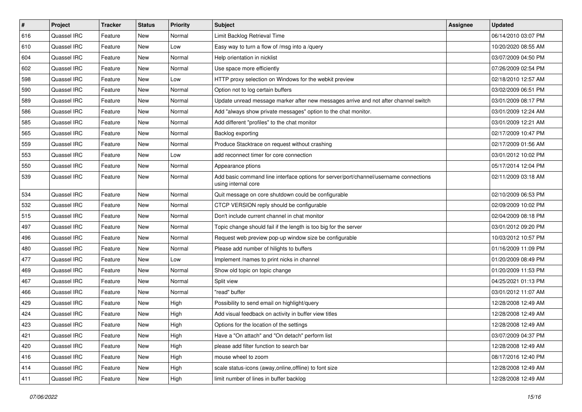| $\pmb{\#}$ | <b>Project</b> | <b>Tracker</b> | <b>Status</b> | <b>Priority</b> | <b>Subject</b>                                                                                               | Assignee | <b>Updated</b>      |
|------------|----------------|----------------|---------------|-----------------|--------------------------------------------------------------------------------------------------------------|----------|---------------------|
| 616        | Quassel IRC    | Feature        | New           | Normal          | Limit Backlog Retrieval Time                                                                                 |          | 06/14/2010 03:07 PM |
| 610        | Quassel IRC    | Feature        | New           | Low             | Easy way to turn a flow of /msg into a /query                                                                |          | 10/20/2020 08:55 AM |
| 604        | Quassel IRC    | Feature        | New           | Normal          | Help orientation in nicklist                                                                                 |          | 03/07/2009 04:50 PM |
| 602        | Quassel IRC    | Feature        | New           | Normal          | Use space more efficiently                                                                                   |          | 07/26/2009 02:54 PM |
| 598        | Quassel IRC    | Feature        | New           | Low             | HTTP proxy selection on Windows for the webkit preview                                                       |          | 02/18/2010 12:57 AM |
| 590        | Quassel IRC    | Feature        | New           | Normal          | Option not to log certain buffers                                                                            |          | 03/02/2009 06:51 PM |
| 589        | Quassel IRC    | Feature        | New           | Normal          | Update unread message marker after new messages arrive and not after channel switch                          |          | 03/01/2009 08:17 PM |
| 586        | Quassel IRC    | Feature        | New           | Normal          | Add "always show private messages" option to the chat monitor.                                               |          | 03/01/2009 12:24 AM |
| 585        | Quassel IRC    | Feature        | New           | Normal          | Add different "profiles" to the chat monitor                                                                 |          | 03/01/2009 12:21 AM |
| 565        | Quassel IRC    | Feature        | <b>New</b>    | Normal          | Backlog exporting                                                                                            |          | 02/17/2009 10:47 PM |
| 559        | Quassel IRC    | Feature        | New           | Normal          | Produce Stacktrace on request without crashing                                                               |          | 02/17/2009 01:56 AM |
| 553        | Quassel IRC    | Feature        | New           | Low             | add reconnect timer for core connection                                                                      |          | 03/01/2012 10:02 PM |
| 550        | Quassel IRC    | Feature        | New           | Normal          | Appearance ptions                                                                                            |          | 05/17/2014 12:04 PM |
| 539        | Quassel IRC    | Feature        | New           | Normal          | Add basic command line interface options for server/port/channel/username connections<br>using internal core |          | 02/11/2009 03:18 AM |
| 534        | Quassel IRC    | Feature        | New           | Normal          | Quit message on core shutdown could be configurable                                                          |          | 02/10/2009 06:53 PM |
| 532        | Quassel IRC    | Feature        | New           | Normal          | CTCP VERSION reply should be configurable                                                                    |          | 02/09/2009 10:02 PM |
| 515        | Quassel IRC    | Feature        | <b>New</b>    | Normal          | Don't include current channel in chat monitor                                                                |          | 02/04/2009 08:18 PM |
| 497        | Quassel IRC    | Feature        | New           | Normal          | Topic change should fail if the length is too big for the server                                             |          | 03/01/2012 09:20 PM |
| 496        | Quassel IRC    | Feature        | New           | Normal          | Request web preview pop-up window size be configurable                                                       |          | 10/03/2012 10:57 PM |
| 480        | Quassel IRC    | Feature        | New           | Normal          | Please add number of hilights to buffers                                                                     |          | 01/16/2009 11:09 PM |
| 477        | Quassel IRC    | Feature        | New           | Low             | Implement /names to print nicks in channel                                                                   |          | 01/20/2009 08:49 PM |
| 469        | Quassel IRC    | Feature        | New           | Normal          | Show old topic on topic change                                                                               |          | 01/20/2009 11:53 PM |
| 467        | Quassel IRC    | Feature        | New           | Normal          | Split view                                                                                                   |          | 04/25/2021 01:13 PM |
| 466        | Quassel IRC    | Feature        | New           | Normal          | "read" buffer                                                                                                |          | 03/01/2012 11:07 AM |
| 429        | Quassel IRC    | Feature        | New           | High            | Possibility to send email on highlight/query                                                                 |          | 12/28/2008 12:49 AM |
| 424        | Quassel IRC    | Feature        | New           | High            | Add visual feedback on activity in buffer view titles                                                        |          | 12/28/2008 12:49 AM |
| 423        | Quassel IRC    | Feature        | New           | High            | Options for the location of the settings                                                                     |          | 12/28/2008 12:49 AM |
| 421        | Quassel IRC    | Feature        | <b>New</b>    | High            | Have a "On attach" and "On detach" perform list                                                              |          | 03/07/2009 04:37 PM |
| 420        | Quassel IRC    | Feature        | New           | High            | please add filter function to search bar                                                                     |          | 12/28/2008 12:49 AM |
| 416        | Quassel IRC    | Feature        | New           | High            | mouse wheel to zoom                                                                                          |          | 08/17/2016 12:40 PM |
| 414        | Quassel IRC    | Feature        | New           | High            | scale status-icons (away, online, offline) to font size                                                      |          | 12/28/2008 12:49 AM |
| 411        | Quassel IRC    | Feature        | New           | High            | limit number of lines in buffer backlog                                                                      |          | 12/28/2008 12:49 AM |